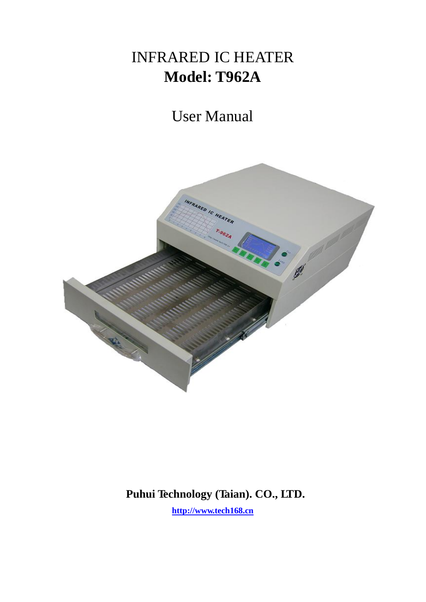# INFRARED IC HEATER **Model: T962A**

User Manual



**Puhui Technology (Taian). CO., LTD. [http://www.tech168.cn](http://www.tech168.cn/)**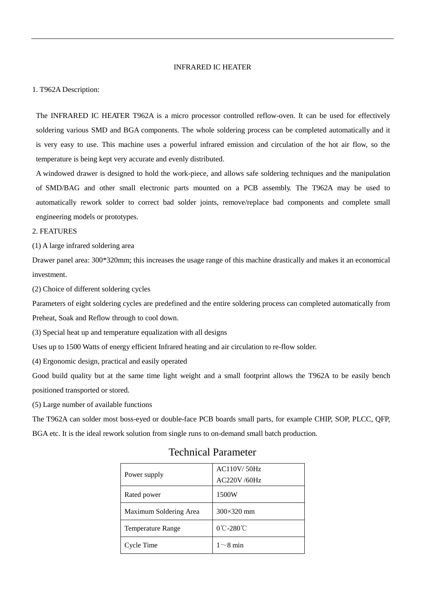## INFRARED IC HEATER

1. T962A Description:

The INFRARED IC HEATER T962A is a micro processor controlled reflow-oven. It can be used for effectively soldering various SMD and BGA components. The whole soldering process can be completed automatically and it is very easy to use. This machine uses a powerful infrared emission and circulation of the hot air flow, so the temperature is being kept very accurate and evenly distributed.

A windowed drawer is designed to hold the work-piece, and allows safe soldering techniques and the manipulation of SMD/BAG and other small electronic parts mounted on a PCB assembly. The T962A may be used to automatically rework solder to correct bad solder joints, remove/replace bad components and complete small engineering models or prototypes.

## 2. FEATURES

(1) A large infrared soldering area

Drawer panel area: 300\*320mm; this increases the usage range of this machine drastically and makes it an economical investment.

(2) Choice of different soldering cycles

Parameters of eight soldering cycles are predefined and the entire soldering process can completed automatically from

Preheat, Soak and Reflow through to cool down.

(3) Special heat up and temperature equalization with all designs

Uses up to 1500 Watts of energy efficient Infrared heating and air circulation to re-flow solder.

(4) Ergonomic design, practical and easily operated

Good build quality but at the same time light weight and a small footprint allows the T962A to be easily bench positioned transported or stored.

(5) Large number of available functions

The T962A can solder most boss-eyed or double-face PCB boards small parts, for example CHIP, SOP, PLCC, QFP, BGA etc. It is the ideal rework solution from single runs to on-demand small batch production.

| Power supply             | AC110V/50Hz         |
|--------------------------|---------------------|
|                          | <b>AC220V /60Hz</b> |
| Rated power              | 1500W               |
| Maximum Soldering Area   | $300\times320$ mm   |
| <b>Temperature Range</b> | 0°C-280°C           |
| Cycle Time               | $1 \sim 8$ min      |

## Technical Parameter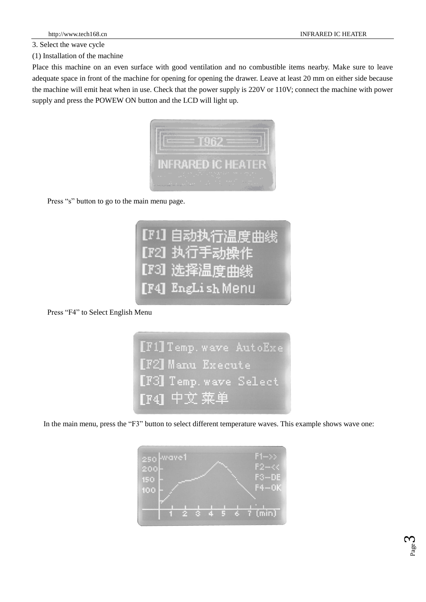3. Select the wave cycle

(1) Installation of the machine

Place this machine on an even surface with good ventilation and no combustible items nearby. Make sure to leave adequate space in front of the machine for opening for opening the drawer. Leave at least 20 mm on either side because the machine will emit heat when in use. Check that the power supply is 220V or 110V; connect the machine with power supply and press the POWEW ON button and the LCD will light up.



Press "s" button to go to the main menu page.



Press "F4" to Select English Menu

| [F1] Temp. wave AutoExe |
|-------------------------|
| [F2] Manu Execute       |
| [F3] Temp. wave Select  |
| [F4] 中文 菜单              |

In the main menu, press the "F3" button to select different temperature waves. This example shows wave one:

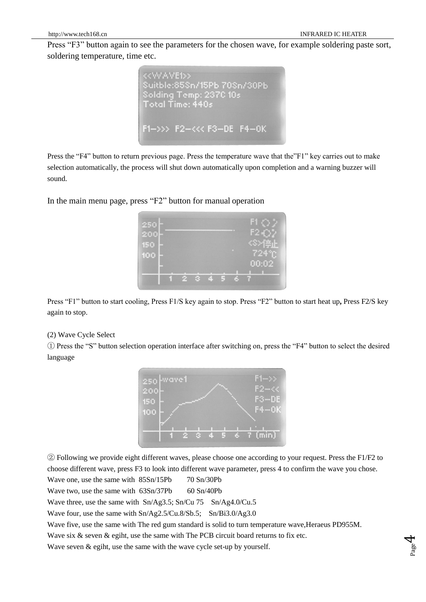Press "F3" button again to see the parameters for the chosen wave, for example soldering paste sort, soldering temperature, time etc.

uitble:85Sn/15Pb 70Sn/30Pb olding Temp: 2370 10s Total Ťime: 440s F1->>> F2-<<< F3-DE F4-0K

Press the "F4" button to return previous page. Press the temperature wave that the"F1" key carries out to make selection automatically, the process will shut down automatically upon completion and a warning buzzer will sound.

In the main menu page, press "F2" button for manual operation

| F1O2             |   |   |    |  | 250 |
|------------------|---|---|----|--|-----|
| F2 O2            |   |   |    |  | 200 |
| ≪≻倖止             |   |   |    |  | 150 |
| 724 <sup>o</sup> |   |   |    |  | 100 |
| 00:02            |   |   |    |  |     |
|                  |   |   |    |  |     |
|                  | u | H | 69 |  |     |

Press "F1" button to start cooling, Press F1/S key again to stop. Press "F2" button to start heat up**,** Press F2/S key again to stop.

## (2) Wave Cycle Select

① Press the "S" button selection operation interface after switching on, press the "F4" button to select the desired language



② Following we provide eight different waves, please choose one according to your request. Press the F1/F2 to choose different wave, press F3 to look into different wave parameter, press 4 to confirm the wave you chose.

Wave one, use the same with 85Sn/15Pb 70 Sn/30Pb

Wave two, use the same with 63Sn/37Pb 60 Sn/40Pb

Wave three, use the same with  $Sn/Ag3.5$ ; Sn/Cu 75 Sn/Ag4.0/Cu.5

Wave four, use the same with Sn/Ag2.5/Cu.8/Sb.5; Sn/Bi3.0/Ag3.0

Wave five, use the same with The red gum standard is solid to turn temperature wave,Heraeus PD955M.

Wave six & seven & egiht, use the same with The PCB circuit board returns to fix etc.

Wave seven & egiht, use the same with the wave cycle set-up by yourself.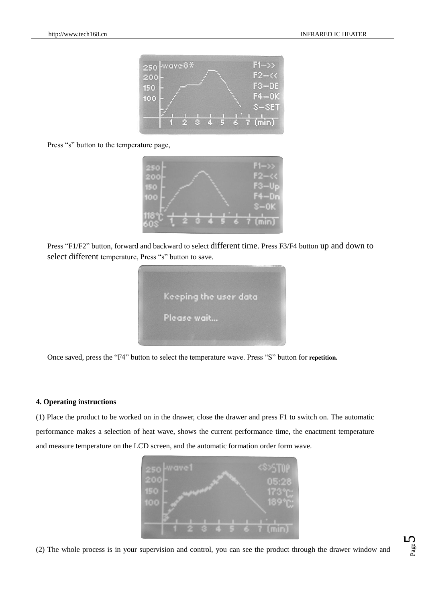Page ம



Press "s" button to the temperature page,



Press "F1/F2" button, forward and backward to select different time. Press F3/F4 button up and down to select different temperature, Press "s" button to save.

| Keeping the user data |  |
|-----------------------|--|
| Please wait           |  |
|                       |  |

Once saved, press the "F4" button to select the temperature wave. Press "S" button for **repetition.**

## **4. Operating instructions**

(1) Place the product to be worked on in the drawer, close the drawer and press F1 to switch on. The automatic performance makes a selection of heat wave, shows the current performance time, the enactment temperature and measure temperature on the LCD screen, and the automatic formation order form wave.



(2) The whole process is in your supervision and control, you can see the product through the drawer window and